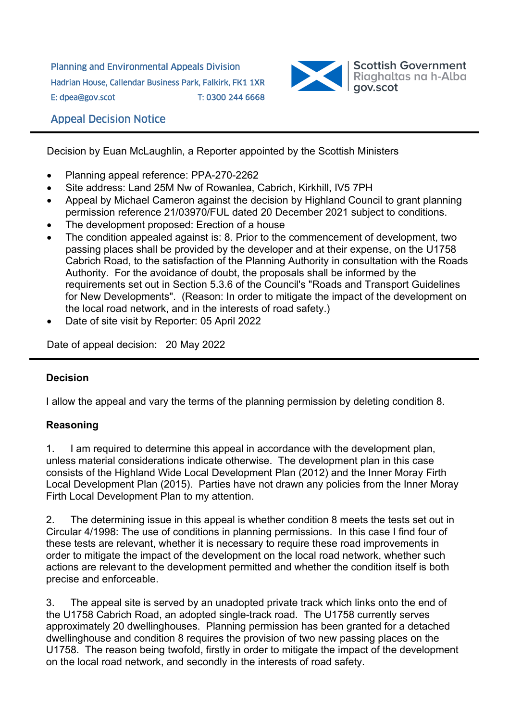Planning and Environmental Appeals Division Hadrian House, Callendar Business Park, Falkirk, FK1 1XR E: dpea@gov.scot T: 0300 244 6668



## Appeal Decision Notice

Decision by Euan McLaughlin, a Reporter appointed by the Scottish Ministers

- Planning appeal reference: PPA-270-2262
- Site address: Land 25M Nw of Rowanlea, Cabrich, Kirkhill, IV5 7PH
- Appeal by Michael Cameron against the decision by Highland Council to grant planning permission reference 21/03970/FUL dated 20 December 2021 subject to conditions.
- The development proposed: Erection of a house
- The condition appealed against is: 8. Prior to the commencement of development, two passing places shall be provided by the developer and at their expense, on the U1758 Cabrich Road, to the satisfaction of the Planning Authority in consultation with the Roads Authority. For the avoidance of doubt, the proposals shall be informed by the requirements set out in Section 5.3.6 of the Council's "Roads and Transport Guidelines for New Developments". (Reason: In order to mitigate the impact of the development on the local road network, and in the interests of road safety.)
- Date of site visit by Reporter: 05 April 2022

Date of appeal decision: 20 May 2022

## **Decision**

I allow the appeal and vary the terms of the planning permission by deleting condition 8.

## **Reasoning**

1. I am required to determine this appeal in accordance with the development plan, unless material considerations indicate otherwise. The development plan in this case consists of the Highland Wide Local Development Plan (2012) and the Inner Moray Firth Local Development Plan (2015). Parties have not drawn any policies from the Inner Moray Firth Local Development Plan to my attention.

2. The determining issue in this appeal is whether condition 8 meets the tests set out in Circular 4/1998: The use of conditions in planning permissions. In this case I find four of these tests are relevant, whether it is necessary to require these road improvements in order to mitigate the impact of the development on the local road network, whether such actions are relevant to the development permitted and whether the condition itself is both precise and enforceable.

3. The appeal site is served by an unadopted private track which links onto the end of the U1758 Cabrich Road, an adopted single-track road. The U1758 currently serves approximately 20 dwellinghouses. Planning permission has been granted for a detached dwellinghouse and condition 8 requires the provision of two new passing places on the U1758. The reason being twofold, firstly in order to mitigate the impact of the development on the local road network, and secondly in the interests of road safety.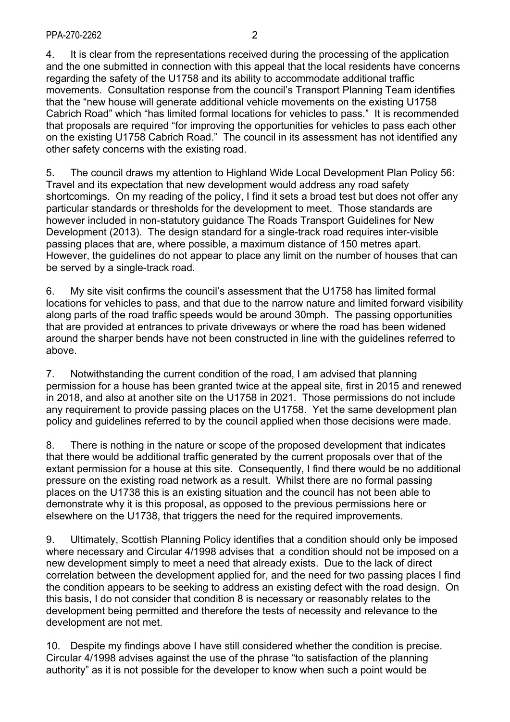4. It is clear from the representations received during the processing of the application and the one submitted in connection with this appeal that the local residents have concerns regarding the safety of the U1758 and its ability to accommodate additional traffic movements. Consultation response from the council's Transport Planning Team identifies that the "new house will generate additional vehicle movements on the existing U1758 Cabrich Road" which "has limited formal locations for vehicles to pass." It is recommended that proposals are required "for improving the opportunities for vehicles to pass each other on the existing U1758 Cabrich Road." The council in its assessment has not identified any other safety concerns with the existing road.

5. The council draws my attention to Highland Wide Local Development Plan Policy 56: Travel and its expectation that new development would address any road safety shortcomings. On my reading of the policy, I find it sets a broad test but does not offer any particular standards or thresholds for the development to meet. Those standards are however included in non-statutory guidance The Roads Transport Guidelines for New Development (2013). The design standard for a single-track road requires inter-visible passing places that are, where possible, a maximum distance of 150 metres apart. However, the guidelines do not appear to place any limit on the number of houses that can be served by a single-track road.

6. My site visit confirms the council's assessment that the U1758 has limited formal locations for vehicles to pass, and that due to the narrow nature and limited forward visibility along parts of the road traffic speeds would be around 30mph. The passing opportunities that are provided at entrances to private driveways or where the road has been widened around the sharper bends have not been constructed in line with the guidelines referred to above.

7. Notwithstanding the current condition of the road, I am advised that planning permission for a house has been granted twice at the appeal site, first in 2015 and renewed in 2018, and also at another site on the U1758 in 2021. Those permissions do not include any requirement to provide passing places on the U1758. Yet the same development plan policy and guidelines referred to by the council applied when those decisions were made.

8. There is nothing in the nature or scope of the proposed development that indicates that there would be additional traffic generated by the current proposals over that of the extant permission for a house at this site. Consequently, I find there would be no additional pressure on the existing road network as a result. Whilst there are no formal passing places on the U1738 this is an existing situation and the council has not been able to demonstrate why it is this proposal, as opposed to the previous permissions here or elsewhere on the U1738, that triggers the need for the required improvements.

9. Ultimately, Scottish Planning Policy identifies that a condition should only be imposed where necessary and Circular 4/1998 advises that a condition should not be imposed on a new development simply to meet a need that already exists. Due to the lack of direct correlation between the development applied for, and the need for two passing places I find the condition appears to be seeking to address an existing defect with the road design. On this basis, I do not consider that condition 8 is necessary or reasonably relates to the development being permitted and therefore the tests of necessity and relevance to the development are not met.

10. Despite my findings above I have still considered whether the condition is precise. Circular 4/1998 advises against the use of the phrase "to satisfaction of the planning authority" as it is not possible for the developer to know when such a point would be